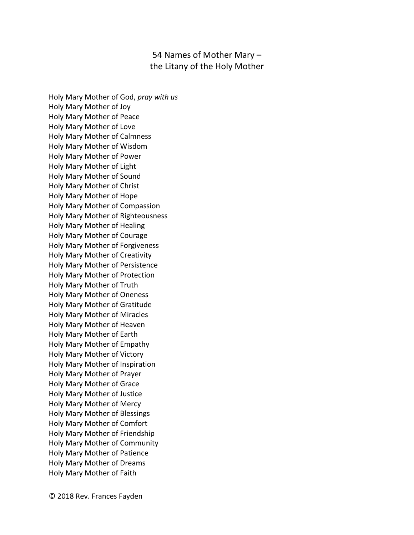## 54 Names of Mother Mary – the Litany of the Holy Mother

Holy Mary Mother of God, *pray with us* Holy Mary Mother of Joy Holy Mary Mother of Peace Holy Mary Mother of Love Holy Mary Mother of Calmness Holy Mary Mother of Wisdom Holy Mary Mother of Power Holy Mary Mother of Light Holy Mary Mother of Sound Holy Mary Mother of Christ Holy Mary Mother of Hope Holy Mary Mother of Compassion Holy Mary Mother of Righteousness Holy Mary Mother of Healing Holy Mary Mother of Courage Holy Mary Mother of Forgiveness Holy Mary Mother of Creativity Holy Mary Mother of Persistence Holy Mary Mother of Protection Holy Mary Mother of Truth Holy Mary Mother of Oneness Holy Mary Mother of Gratitude Holy Mary Mother of Miracles Holy Mary Mother of Heaven Holy Mary Mother of Earth Holy Mary Mother of Empathy Holy Mary Mother of Victory Holy Mary Mother of Inspiration Holy Mary Mother of Prayer Holy Mary Mother of Grace Holy Mary Mother of Justice Holy Mary Mother of Mercy Holy Mary Mother of Blessings Holy Mary Mother of Comfort Holy Mary Mother of Friendship Holy Mary Mother of Community Holy Mary Mother of Patience Holy Mary Mother of Dreams Holy Mary Mother of Faith